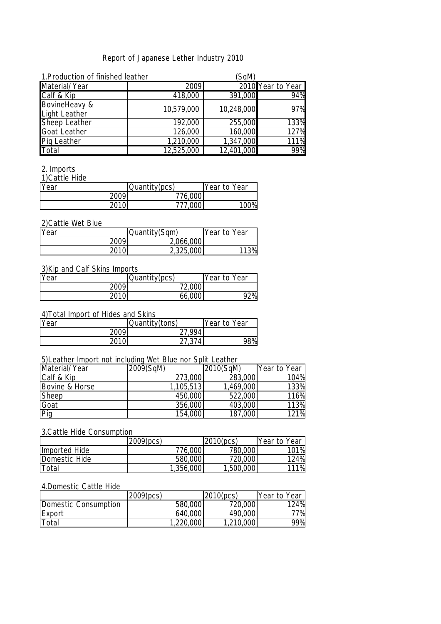### Report of Japanese Lether Industry 2010

| 1. Production of finished leather     |            | (SqM)      |                   |
|---------------------------------------|------------|------------|-------------------|
| Material/Year                         | 2009       |            | 2010 Year to Year |
| Calf & Kip                            | 418,000    | 391,000    | 94%               |
| BovineHeavy &<br><b>Light Leather</b> | 10,579,000 | 10,248,000 | 97%               |
| Sheep Leather                         | 192,000    | 255,000    | 133%              |
| <b>Goat Leather</b>                   | 126,000    | 160,000    | 127%              |
| <b>Pig Leather</b>                    | 1,210,000  | 1,347,000  | 111%              |
| Total                                 | 12,525,000 | 12,401,000 | 99%               |

#### 2. Imports

1)Cattle Hide

| Year | Quantity(pcs) | Year to Year |
|------|---------------|--------------|
| 2009 | 776,000       |              |
| 2010 | 777.000       | 100%         |

## 2)Cattle Wet Blue

| Year | Quantity(Sqm) | Year to Year |
|------|---------------|--------------|
| 2009 | 2,066,000     |              |
| ገበ1በ | 2,325,000     | 113%         |

### 3)Kip and Calf Skins Imports

| Year | Quantity(pcs) | Year to Year |
|------|---------------|--------------|
| 2009 | 72,000        |              |
| 2010 | 66,000        | 92%          |

### 4)Total Import of Hides and Skins

| Year  | Quantity(tons) | Year to Year     |
|-------|----------------|------------------|
| 2009  | 27 994         |                  |
| 20101 | 27 374         | 98% <sub>1</sub> |

## 5)Leather Import not including Wet Blue nor Split Leather

| Material/Year  | 2009(SqM) | 2010(SqM) | Year to Year |
|----------------|-----------|-----------|--------------|
| Calf & Kip     | 273,000   | 283,000   | 104%         |
| Bovine & Horse | 1,105,513 | 1,469,000 | 133%         |
| Sheep          | 450,000   | 522,000   | 116%         |
| Goat           | 356,000   | 403,000   | 113%         |
| Pig            | 154,000   | 187,000   | 121%         |

### 3.Cattle Hide Consumption

|               | 2009(pcs) | 2010(pcs) | Year to Year |
|---------------|-----------|-----------|--------------|
| Imported Hide | 776,000   | 780,000   | 101%         |
| Domestic Hide | 580,000   | 720,000   | 124%         |
| Total         | 1,356,000 | 1,500,000 | 111%         |

### 4.Domestic Cattle Hide

|                      | 2009(pcs) | 2010(pcs) | Year to Year |
|----------------------|-----------|-----------|--------------|
| Domestic Consumption | 580,000   | 720,000   | 124%         |
| <b>Export</b>        | 640,000   | 490,000   | 77%          |
| Total                | 1,220,000 | 1,210,000 | 99%          |